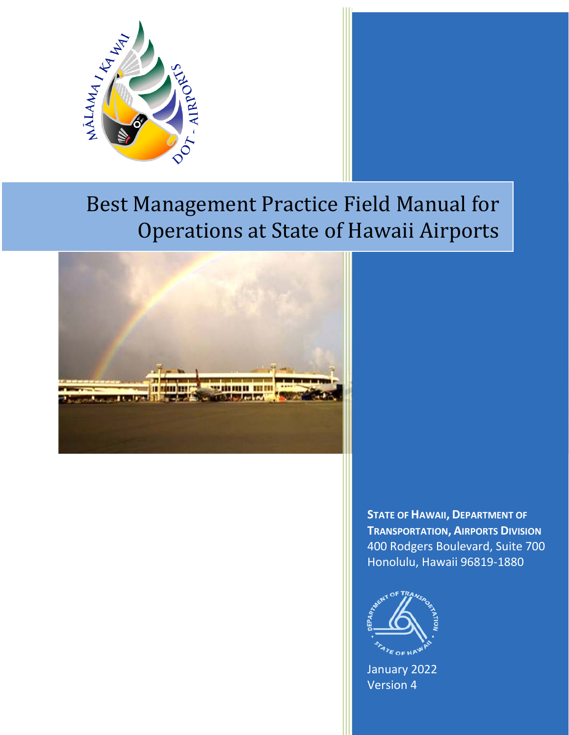

# Best Management Practice Field Manual for Operations at State of Hawaii Airports



**STATE OF HAWAII, DEPARTMENT OF TRANSPORTATION, AIRPORTS DIVISION** 400 Rodgers Boulevard, Suite 700 Honolulu, Hawaii 96819-1880



January 2022 Version 4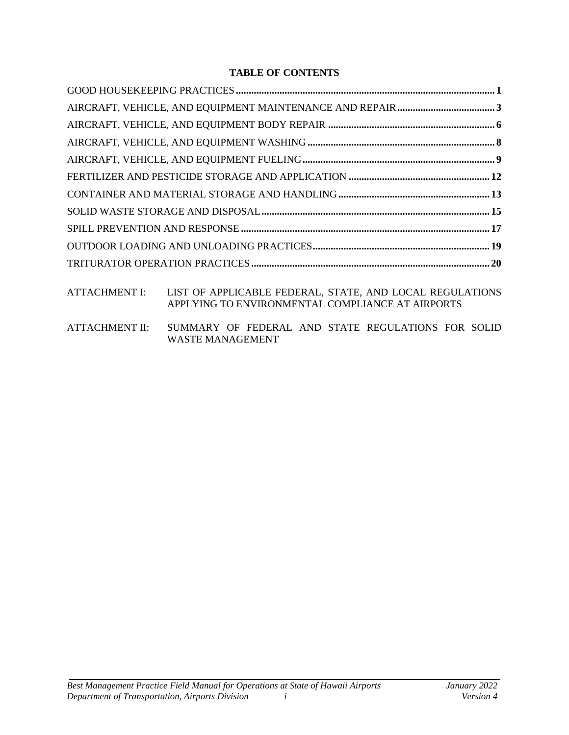# **TABLE OF CONTENTS**

ATTACHMENT I: LIST OF APPLICABLE FEDERAL, STATE, AND LOCAL REGULATIONS APPLYING TO ENVIRONMENTAL COMPLIANCE AT AIRPORTS

ATTACHMENT II: SUMMARY OF FEDERAL AND STATE REGULATIONS FOR SOLID WASTE MANAGEMENT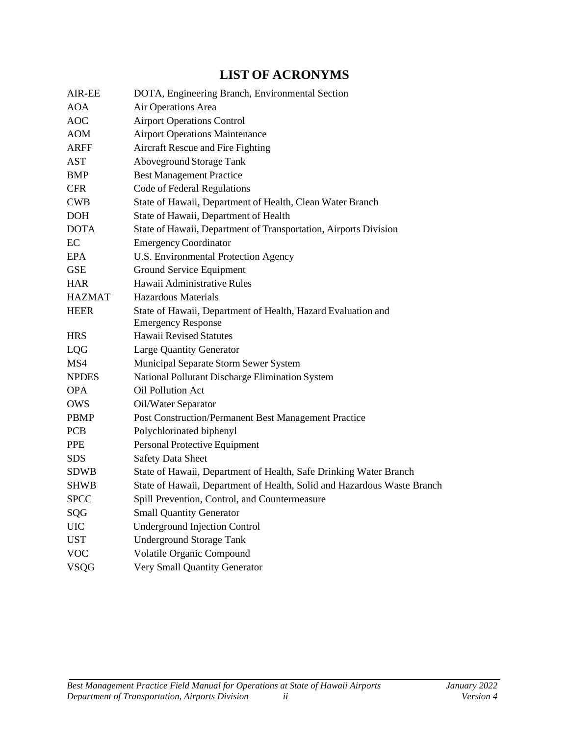# **LIST OF ACRONYMS**

| DOTA, Engineering Branch, Environmental Section                                           |
|-------------------------------------------------------------------------------------------|
| Air Operations Area                                                                       |
| <b>Airport Operations Control</b>                                                         |
| <b>Airport Operations Maintenance</b>                                                     |
| Aircraft Rescue and Fire Fighting                                                         |
| <b>Aboveground Storage Tank</b>                                                           |
| <b>Best Management Practice</b>                                                           |
| Code of Federal Regulations                                                               |
| State of Hawaii, Department of Health, Clean Water Branch                                 |
| State of Hawaii, Department of Health                                                     |
| State of Hawaii, Department of Transportation, Airports Division                          |
| <b>Emergency Coordinator</b>                                                              |
| U.S. Environmental Protection Agency                                                      |
| Ground Service Equipment                                                                  |
| Hawaii Administrative Rules                                                               |
| <b>Hazardous Materials</b>                                                                |
| State of Hawaii, Department of Health, Hazard Evaluation and<br><b>Emergency Response</b> |
| <b>Hawaii Revised Statutes</b>                                                            |
| <b>Large Quantity Generator</b>                                                           |
| Municipal Separate Storm Sewer System                                                     |
| National Pollutant Discharge Elimination System                                           |
| Oil Pollution Act                                                                         |
| Oil/Water Separator                                                                       |
| Post Construction/Permanent Best Management Practice                                      |
| Polychlorinated biphenyl                                                                  |
| Personal Protective Equipment                                                             |
| <b>Safety Data Sheet</b>                                                                  |
| State of Hawaii, Department of Health, Safe Drinking Water Branch                         |
| State of Hawaii, Department of Health, Solid and Hazardous Waste Branch                   |
| Spill Prevention, Control, and Countermeasure                                             |
| <b>Small Quantity Generator</b>                                                           |
| <b>Underground Injection Control</b>                                                      |
| <b>Underground Storage Tank</b>                                                           |
| Volatile Organic Compound                                                                 |
| Very Small Quantity Generator                                                             |
|                                                                                           |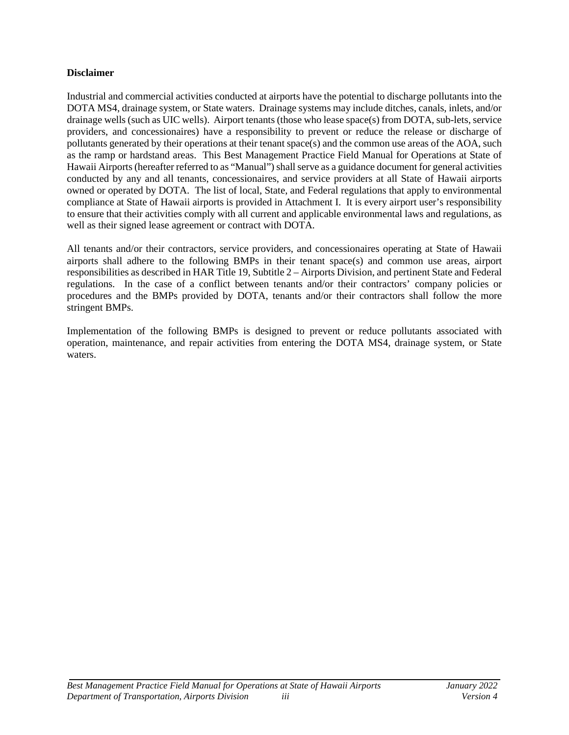#### **Disclaimer**

Industrial and commercial activities conducted at airports have the potential to discharge pollutants into the DOTA MS4, drainage system, or State waters. Drainage systems may include ditches, canals, inlets, and/or drainage wells (such as UIC wells). Airport tenants (those who lease space(s) from DOTA, sub-lets, service providers, and concessionaires) have a responsibility to prevent or reduce the release or discharge of pollutants generated by their operations at their tenant space(s) and the common use areas of the AOA, such as the ramp or hardstand areas. This Best Management Practice Field Manual for Operations at State of Hawaii Airports (hereafter referred to as "Manual") shall serve as a guidance document for general activities conducted by any and all tenants, concessionaires, and service providers at all State of Hawaii airports owned or operated by DOTA. The list of local, State, and Federal regulations that apply to environmental compliance at State of Hawaii airports is provided in Attachment I. It is every airport user's responsibility to ensure that their activities comply with all current and applicable environmental laws and regulations, as well as their signed lease agreement or contract with DOTA.

All tenants and/or their contractors, service providers, and concessionaires operating at State of Hawaii airports shall adhere to the following BMPs in their tenant space(s) and common use areas, airport responsibilities as described in HAR Title 19, Subtitle 2 – Airports Division, and pertinent State and Federal regulations. In the case of a conflict between tenants and/or their contractors' company policies or procedures and the BMPs provided by DOTA, tenants and/or their contractors shall follow the more stringent BMPs.

Implementation of the following BMPs is designed to prevent or reduce pollutants associated with operation, maintenance, and repair activities from entering the DOTA MS4, drainage system, or State waters.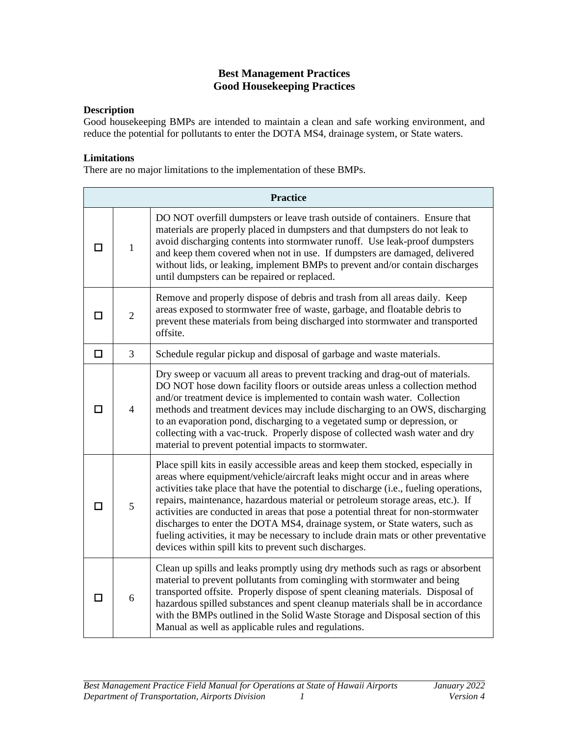# **Best Management Practices Good Housekeeping Practices**

#### <span id="page-4-0"></span>**Description**

Good housekeeping BMPs are intended to maintain a clean and safe working environment, and reduce the potential for pollutants to enter the DOTA MS4, drainage system, or State waters.

#### **Limitations**

There are no major limitations to the implementation of these BMPs.

|   | <b>Practice</b> |                                                                                                                                                                                                                                                                                                                                                                                                                                                                                                                                                                                                                                                                |  |
|---|-----------------|----------------------------------------------------------------------------------------------------------------------------------------------------------------------------------------------------------------------------------------------------------------------------------------------------------------------------------------------------------------------------------------------------------------------------------------------------------------------------------------------------------------------------------------------------------------------------------------------------------------------------------------------------------------|--|
| П | $\mathbf{1}$    | DO NOT overfill dumpsters or leave trash outside of containers. Ensure that<br>materials are properly placed in dumpsters and that dumpsters do not leak to<br>avoid discharging contents into stormwater runoff. Use leak-proof dumpsters<br>and keep them covered when not in use. If dumpsters are damaged, delivered<br>without lids, or leaking, implement BMPs to prevent and/or contain discharges<br>until dumpsters can be repaired or replaced.                                                                                                                                                                                                      |  |
| П | $\overline{2}$  | Remove and properly dispose of debris and trash from all areas daily. Keep<br>areas exposed to stormwater free of waste, garbage, and floatable debris to<br>prevent these materials from being discharged into stormwater and transported<br>offsite.                                                                                                                                                                                                                                                                                                                                                                                                         |  |
| □ | 3               | Schedule regular pickup and disposal of garbage and waste materials.                                                                                                                                                                                                                                                                                                                                                                                                                                                                                                                                                                                           |  |
| П | $\overline{4}$  | Dry sweep or vacuum all areas to prevent tracking and drag-out of materials.<br>DO NOT hose down facility floors or outside areas unless a collection method<br>and/or treatment device is implemented to contain wash water. Collection<br>methods and treatment devices may include discharging to an OWS, discharging<br>to an evaporation pond, discharging to a vegetated sump or depression, or<br>collecting with a vac-truck. Properly dispose of collected wash water and dry<br>material to prevent potential impacts to stormwater.                                                                                                                 |  |
| п | 5               | Place spill kits in easily accessible areas and keep them stocked, especially in<br>areas where equipment/vehicle/aircraft leaks might occur and in areas where<br>activities take place that have the potential to discharge (i.e., fueling operations,<br>repairs, maintenance, hazardous material or petroleum storage areas, etc.). If<br>activities are conducted in areas that pose a potential threat for non-stormwater<br>discharges to enter the DOTA MS4, drainage system, or State waters, such as<br>fueling activities, it may be necessary to include drain mats or other preventative<br>devices within spill kits to prevent such discharges. |  |
| п | 6               | Clean up spills and leaks promptly using dry methods such as rags or absorbent<br>material to prevent pollutants from comingling with stormwater and being<br>transported offsite. Properly dispose of spent cleaning materials. Disposal of<br>hazardous spilled substances and spent cleanup materials shall be in accordance<br>with the BMPs outlined in the Solid Waste Storage and Disposal section of this<br>Manual as well as applicable rules and regulations.                                                                                                                                                                                       |  |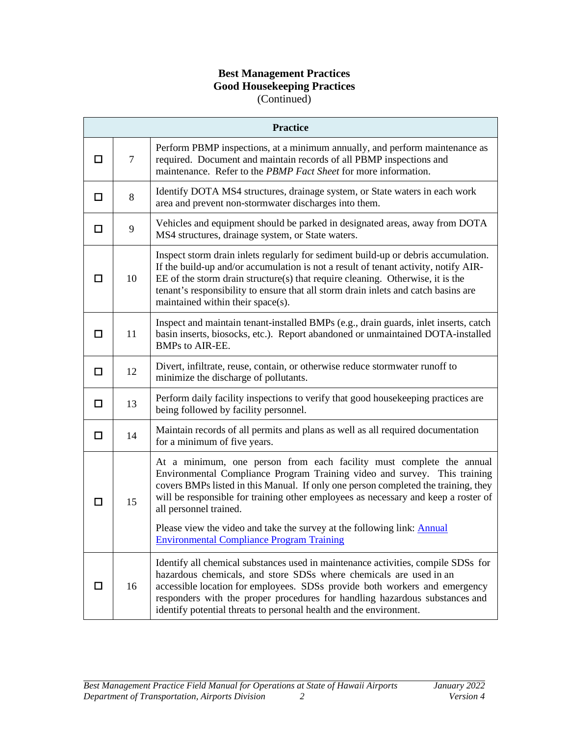# **Best Management Practices Good Housekeeping Practices** (Continued)

|   | <b>Practice</b> |                                                                                                                                                                                                                                                                                                                                                                                            |  |
|---|-----------------|--------------------------------------------------------------------------------------------------------------------------------------------------------------------------------------------------------------------------------------------------------------------------------------------------------------------------------------------------------------------------------------------|--|
| П | $\tau$          | Perform PBMP inspections, at a minimum annually, and perform maintenance as<br>required. Document and maintain records of all PBMP inspections and<br>maintenance. Refer to the PBMP Fact Sheet for more information.                                                                                                                                                                      |  |
| □ | 8               | Identify DOTA MS4 structures, drainage system, or State waters in each work<br>area and prevent non-stormwater discharges into them.                                                                                                                                                                                                                                                       |  |
| □ | 9               | Vehicles and equipment should be parked in designated areas, away from DOTA<br>MS4 structures, drainage system, or State waters.                                                                                                                                                                                                                                                           |  |
| П | 10              | Inspect storm drain inlets regularly for sediment build-up or debris accumulation.<br>If the build-up and/or accumulation is not a result of tenant activity, notify AIR-<br>EE of the storm drain structure(s) that require cleaning. Otherwise, it is the<br>tenant's responsibility to ensure that all storm drain inlets and catch basins are<br>maintained within their space(s).     |  |
| □ | 11              | Inspect and maintain tenant-installed BMPs (e.g., drain guards, inlet inserts, catch<br>basin inserts, biosocks, etc.). Report abandoned or unmaintained DOTA-installed<br><b>BMPs to AIR-EE.</b>                                                                                                                                                                                          |  |
| □ | 12              | Divert, infiltrate, reuse, contain, or otherwise reduce stormwater runoff to<br>minimize the discharge of pollutants.                                                                                                                                                                                                                                                                      |  |
| □ | 13              | Perform daily facility inspections to verify that good housekeeping practices are<br>being followed by facility personnel.                                                                                                                                                                                                                                                                 |  |
| П | 14              | Maintain records of all permits and plans as well as all required documentation<br>for a minimum of five years.                                                                                                                                                                                                                                                                            |  |
|   | 15              | At a minimum, one person from each facility must complete the annual<br>Environmental Compliance Program Training video and survey. This training<br>covers BMPs listed in this Manual. If only one person completed the training, they<br>will be responsible for training other employees as necessary and keep a roster of<br>all personnel trained.                                    |  |
|   |                 | Please view the video and take the survey at the following link: Annual<br><b>Environmental Compliance Program Training</b>                                                                                                                                                                                                                                                                |  |
| П | 16              | Identify all chemical substances used in maintenance activities, compile SDSs for<br>hazardous chemicals, and store SDSs where chemicals are used in an<br>accessible location for employees. SDSs provide both workers and emergency<br>responders with the proper procedures for handling hazardous substances and<br>identify potential threats to personal health and the environment. |  |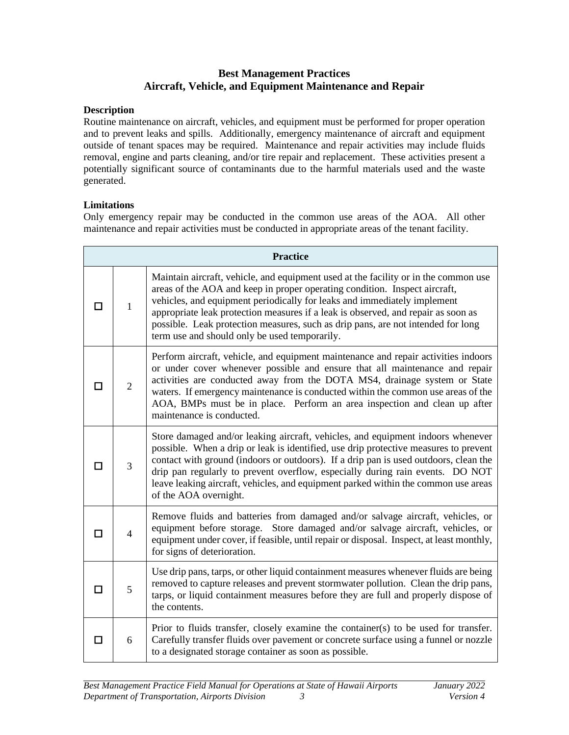# **Best Management Practices Aircraft, Vehicle, and Equipment Maintenance and Repair**

#### <span id="page-6-0"></span>**Description**

Routine maintenance on aircraft, vehicles, and equipment must be performed for proper operation and to prevent leaks and spills. Additionally, emergency maintenance of aircraft and equipment outside of tenant spaces may be required. Maintenance and repair activities may include fluids removal, engine and parts cleaning, and/or tire repair and replacement. These activities present a potentially significant source of contaminants due to the harmful materials used and the waste generated.

# **Limitations**

Only emergency repair may be conducted in the common use areas of the AOA. All other maintenance and repair activities must be conducted in appropriate areas of the tenant facility.

|    | <b>Practice</b> |                                                                                                                                                                                                                                                                                                                                                                                                                                                                         |  |
|----|-----------------|-------------------------------------------------------------------------------------------------------------------------------------------------------------------------------------------------------------------------------------------------------------------------------------------------------------------------------------------------------------------------------------------------------------------------------------------------------------------------|--|
|    | 1               | Maintain aircraft, vehicle, and equipment used at the facility or in the common use<br>areas of the AOA and keep in proper operating condition. Inspect aircraft,<br>vehicles, and equipment periodically for leaks and immediately implement<br>appropriate leak protection measures if a leak is observed, and repair as soon as<br>possible. Leak protection measures, such as drip pans, are not intended for long<br>term use and should only be used temporarily. |  |
| П  | $\mathfrak{2}$  | Perform aircraft, vehicle, and equipment maintenance and repair activities indoors<br>or under cover whenever possible and ensure that all maintenance and repair<br>activities are conducted away from the DOTA MS4, drainage system or State<br>waters. If emergency maintenance is conducted within the common use areas of the<br>AOA, BMPs must be in place. Perform an area inspection and clean up after<br>maintenance is conducted.                            |  |
| ΙI | 3               | Store damaged and/or leaking aircraft, vehicles, and equipment indoors whenever<br>possible. When a drip or leak is identified, use drip protective measures to prevent<br>contact with ground (indoors or outdoors). If a drip pan is used outdoors, clean the<br>drip pan regularly to prevent overflow, especially during rain events. DO NOT<br>leave leaking aircraft, vehicles, and equipment parked within the common use areas<br>of the AOA overnight.         |  |
| П  | 4               | Remove fluids and batteries from damaged and/or salvage aircraft, vehicles, or<br>equipment before storage. Store damaged and/or salvage aircraft, vehicles, or<br>equipment under cover, if feasible, until repair or disposal. Inspect, at least monthly,<br>for signs of deterioration.                                                                                                                                                                              |  |
| П  | 5               | Use drip pans, tarps, or other liquid containment measures whenever fluids are being<br>removed to capture releases and prevent stormwater pollution. Clean the drip pans,<br>tarps, or liquid containment measures before they are full and properly dispose of<br>the contents.                                                                                                                                                                                       |  |
| П  | 6               | Prior to fluids transfer, closely examine the container(s) to be used for transfer.<br>Carefully transfer fluids over pavement or concrete surface using a funnel or nozzle<br>to a designated storage container as soon as possible.                                                                                                                                                                                                                                   |  |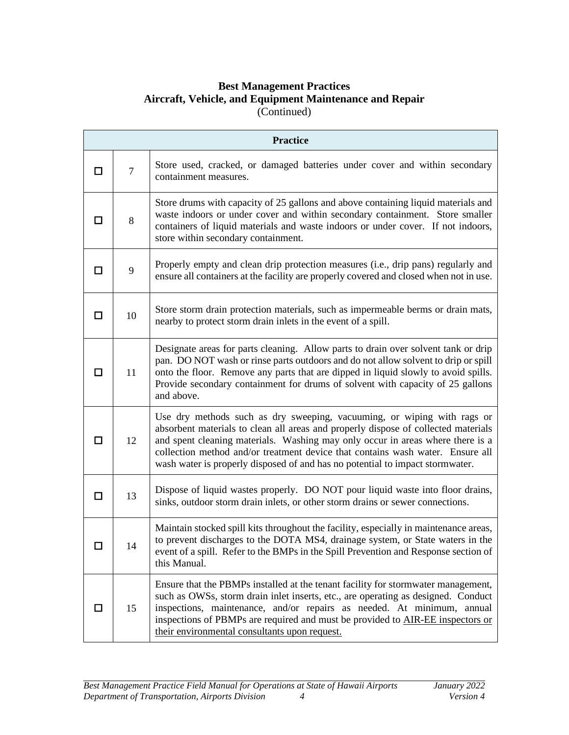# **Best Management Practices Aircraft, Vehicle, and Equipment Maintenance and Repair** (Continued)

|        | <b>Practice</b> |                                                                                                                                                                                                                                                                                                                                                                                                                    |  |
|--------|-----------------|--------------------------------------------------------------------------------------------------------------------------------------------------------------------------------------------------------------------------------------------------------------------------------------------------------------------------------------------------------------------------------------------------------------------|--|
| □      | $\overline{7}$  | Store used, cracked, or damaged batteries under cover and within secondary<br>containment measures.                                                                                                                                                                                                                                                                                                                |  |
| П      | 8               | Store drums with capacity of 25 gallons and above containing liquid materials and<br>waste indoors or under cover and within secondary containment. Store smaller<br>containers of liquid materials and waste indoors or under cover. If not indoors,<br>store within secondary containment.                                                                                                                       |  |
| П      | 9               | Properly empty and clean drip protection measures (i.e., drip pans) regularly and<br>ensure all containers at the facility are properly covered and closed when not in use.                                                                                                                                                                                                                                        |  |
| П      | 10              | Store storm drain protection materials, such as impermeable berms or drain mats,<br>nearby to protect storm drain inlets in the event of a spill.                                                                                                                                                                                                                                                                  |  |
| П      | 11              | Designate areas for parts cleaning. Allow parts to drain over solvent tank or drip<br>pan. DO NOT wash or rinse parts outdoors and do not allow solvent to drip or spill<br>onto the floor. Remove any parts that are dipped in liquid slowly to avoid spills.<br>Provide secondary containment for drums of solvent with capacity of 25 gallons<br>and above.                                                     |  |
| □      | 12              | Use dry methods such as dry sweeping, vacuuming, or wiping with rags or<br>absorbent materials to clean all areas and properly dispose of collected materials<br>and spent cleaning materials. Washing may only occur in areas where there is a<br>collection method and/or treatment device that contains wash water. Ensure all<br>wash water is properly disposed of and has no potential to impact stormwater. |  |
| □      | 13              | Dispose of liquid wastes properly. DO NOT pour liquid waste into floor drains,<br>sinks, outdoor storm drain inlets, or other storm drains or sewer connections.                                                                                                                                                                                                                                                   |  |
| $\Box$ | 14              | Maintain stocked spill kits throughout the facility, especially in maintenance areas,<br>to prevent discharges to the DOTA MS4, drainage system, or State waters in the<br>event of a spill. Refer to the BMPs in the Spill Prevention and Response section of<br>this Manual.                                                                                                                                     |  |
| □      | 15              | Ensure that the PBMPs installed at the tenant facility for stormwater management,<br>such as OWSs, storm drain inlet inserts, etc., are operating as designed. Conduct<br>inspections, maintenance, and/or repairs as needed. At minimum, annual<br>inspections of PBMPs are required and must be provided to AIR-EE inspectors or<br>their environmental consultants upon request.                                |  |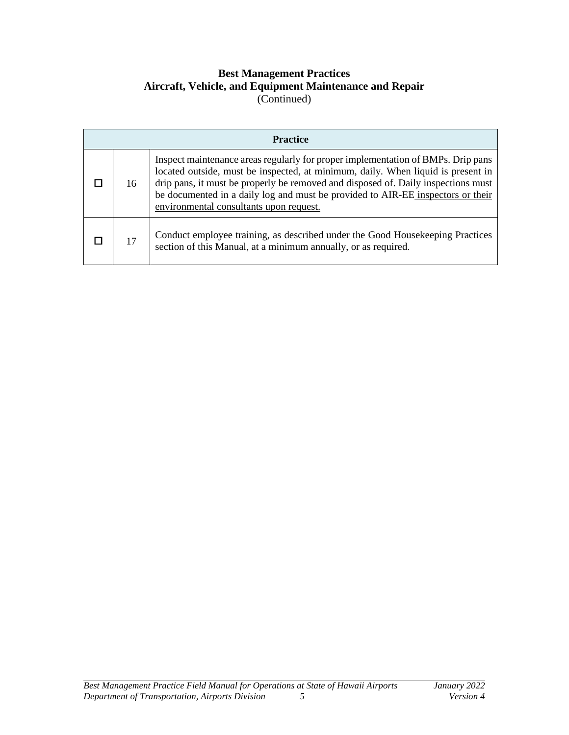# **Best Management Practices Aircraft, Vehicle, and Equipment Maintenance and Repair** (Continued)

| <b>Practice</b> |                                                                                                                                                                                                                                                                                                                                                                                         |  |
|-----------------|-----------------------------------------------------------------------------------------------------------------------------------------------------------------------------------------------------------------------------------------------------------------------------------------------------------------------------------------------------------------------------------------|--|
| 16              | Inspect maintenance areas regularly for proper implementation of BMPs. Drip pans<br>located outside, must be inspected, at minimum, daily. When liquid is present in<br>drip pans, it must be properly be removed and disposed of. Daily inspections must<br>be documented in a daily log and must be provided to AIR-EE inspectors or their<br>environmental consultants upon request. |  |
| 17              | Conduct employee training, as described under the Good Housekeeping Practices<br>section of this Manual, at a minimum annually, or as required.                                                                                                                                                                                                                                         |  |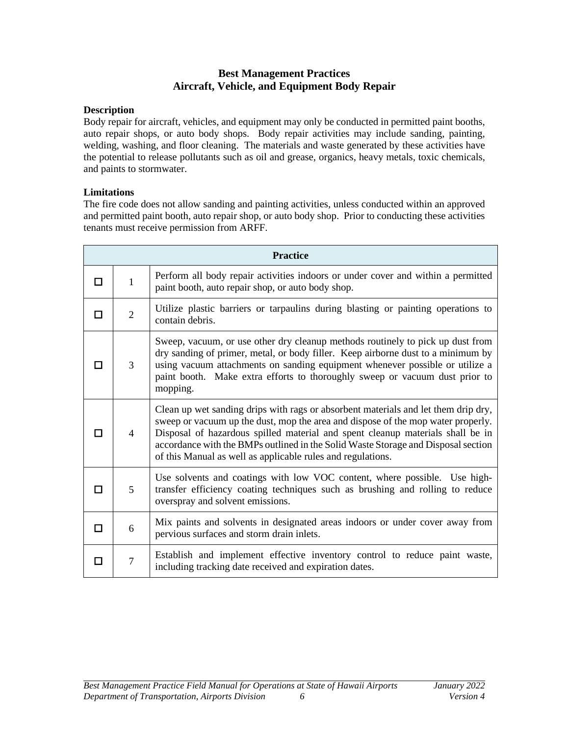# **Best Management Practices Aircraft, Vehicle, and Equipment Body Repair**

#### <span id="page-9-0"></span>**Description**

Body repair for aircraft, vehicles, and equipment may only be conducted in permitted paint booths, auto repair shops, or auto body shops. Body repair activities may include sanding, painting, welding, washing, and floor cleaning. The materials and waste generated by these activities have the potential to release pollutants such as oil and grease, organics, heavy metals, toxic chemicals, and paints to stormwater.

# **Limitations**

The fire code does not allow sanding and painting activities, unless conducted within an approved and permitted paint booth, auto repair shop, or auto body shop. Prior to conducting these activities tenants must receive permission from ARFF.

|   | <b>Practice</b> |                                                                                                                                                                                                                                                                                                                                                                                                              |  |
|---|-----------------|--------------------------------------------------------------------------------------------------------------------------------------------------------------------------------------------------------------------------------------------------------------------------------------------------------------------------------------------------------------------------------------------------------------|--|
| П | $\mathbf{1}$    | Perform all body repair activities indoors or under cover and within a permitted<br>paint booth, auto repair shop, or auto body shop.                                                                                                                                                                                                                                                                        |  |
| П | $\overline{2}$  | Utilize plastic barriers or tarpaulins during blasting or painting operations to<br>contain debris.                                                                                                                                                                                                                                                                                                          |  |
|   | 3               | Sweep, vacuum, or use other dry cleanup methods routinely to pick up dust from<br>dry sanding of primer, metal, or body filler. Keep airborne dust to a minimum by<br>using vacuum attachments on sanding equipment whenever possible or utilize a<br>paint booth. Make extra efforts to thoroughly sweep or vacuum dust prior to<br>mopping.                                                                |  |
|   | $\overline{4}$  | Clean up wet sanding drips with rags or absorbent materials and let them drip dry,<br>sweep or vacuum up the dust, mop the area and dispose of the mop water properly.<br>Disposal of hazardous spilled material and spent cleanup materials shall be in<br>accordance with the BMPs outlined in the Solid Waste Storage and Disposal section<br>of this Manual as well as applicable rules and regulations. |  |
| П | 5               | Use solvents and coatings with low VOC content, where possible. Use high-<br>transfer efficiency coating techniques such as brushing and rolling to reduce<br>overspray and solvent emissions.                                                                                                                                                                                                               |  |
| п | 6               | Mix paints and solvents in designated areas indoors or under cover away from<br>pervious surfaces and storm drain inlets.                                                                                                                                                                                                                                                                                    |  |
| п | $\overline{7}$  | Establish and implement effective inventory control to reduce paint waste,<br>including tracking date received and expiration dates.                                                                                                                                                                                                                                                                         |  |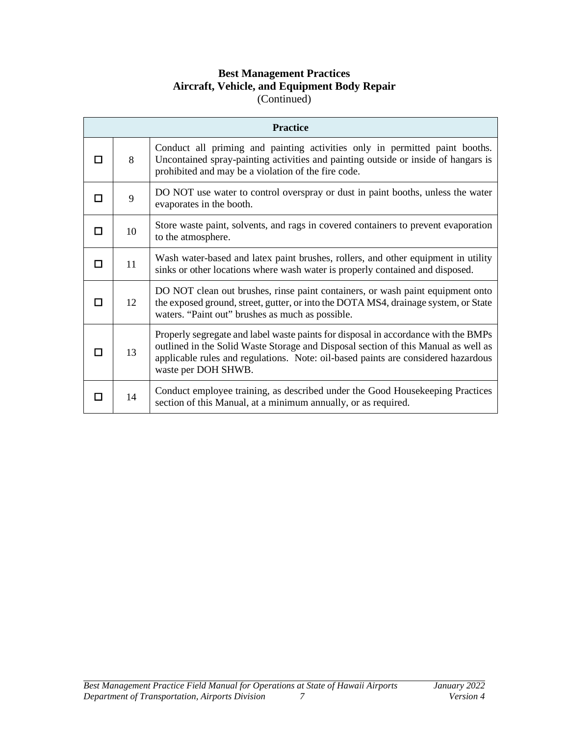# **Best Management Practices Aircraft, Vehicle, and Equipment Body Repair** (Continued)

|             | <b>Practice</b> |                                                                                                                                                                                                                                                                                      |  |
|-------------|-----------------|--------------------------------------------------------------------------------------------------------------------------------------------------------------------------------------------------------------------------------------------------------------------------------------|--|
|             | 8               | Conduct all priming and painting activities only in permitted paint booths.<br>Uncontained spray-painting activities and painting outside or inside of hangars is<br>prohibited and may be a violation of the fire code.                                                             |  |
|             | 9               | DO NOT use water to control overspray or dust in paint booths, unless the water<br>evaporates in the booth.                                                                                                                                                                          |  |
| П           | 10              | Store waste paint, solvents, and rags in covered containers to prevent evaporation<br>to the atmosphere.                                                                                                                                                                             |  |
| П           | 11              | Wash water-based and latex paint brushes, rollers, and other equipment in utility<br>sinks or other locations where wash water is properly contained and disposed.                                                                                                                   |  |
| <b>Tale</b> | 12              | DO NOT clean out brushes, rinse paint containers, or wash paint equipment onto<br>the exposed ground, street, gutter, or into the DOTA MS4, drainage system, or State<br>waters. "Paint out" brushes as much as possible.                                                            |  |
| П           | 13              | Properly segregate and label waste paints for disposal in accordance with the BMPs<br>outlined in the Solid Waste Storage and Disposal section of this Manual as well as<br>applicable rules and regulations. Note: oil-based paints are considered hazardous<br>waste per DOH SHWB. |  |
|             | 14              | Conduct employee training, as described under the Good Housekeeping Practices<br>section of this Manual, at a minimum annually, or as required.                                                                                                                                      |  |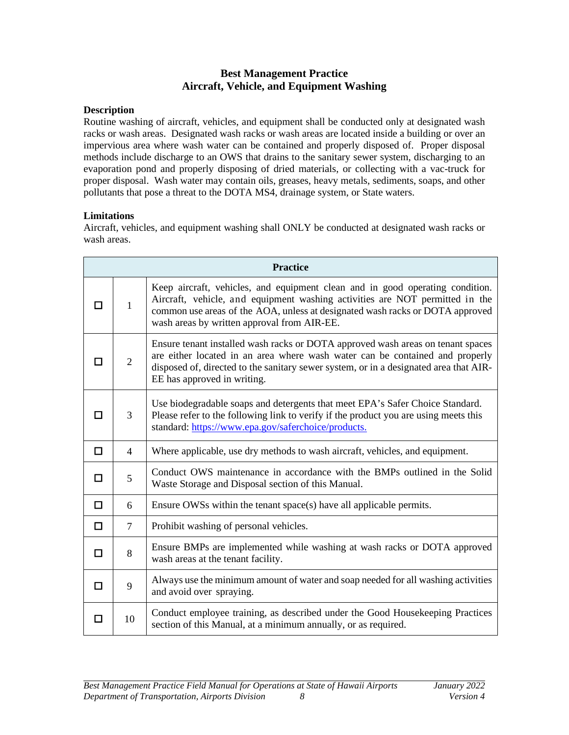# **Best Management Practice Aircraft, Vehicle, and Equipment Washing**

#### <span id="page-11-0"></span>**Description**

Routine washing of aircraft, vehicles, and equipment shall be conducted only at designated wash racks or wash areas. Designated wash racks or wash areas are located inside a building or over an impervious area where wash water can be contained and properly disposed of. Proper disposal methods include discharge to an OWS that drains to the sanitary sewer system, discharging to an evaporation pond and properly disposing of dried materials, or collecting with a vac-truck for proper disposal. Wash water may contain oils, greases, heavy metals, sediments, soaps, and other pollutants that pose a threat to the DOTA MS4, drainage system, or State waters.

# **Limitations**

Aircraft, vehicles, and equipment washing shall ONLY be conducted at designated wash racks or wash areas.

|    | <b>Practice</b> |                                                                                                                                                                                                                                                                                               |  |
|----|-----------------|-----------------------------------------------------------------------------------------------------------------------------------------------------------------------------------------------------------------------------------------------------------------------------------------------|--|
| IΙ | $\mathbf{1}$    | Keep aircraft, vehicles, and equipment clean and in good operating condition.<br>Aircraft, vehicle, and equipment washing activities are NOT permitted in the<br>common use areas of the AOA, unless at designated wash racks or DOTA approved<br>wash areas by written approval from AIR-EE. |  |
| П  | $\overline{2}$  | Ensure tenant installed wash racks or DOTA approved wash areas on tenant spaces<br>are either located in an area where wash water can be contained and properly<br>disposed of, directed to the sanitary sewer system, or in a designated area that AIR-<br>EE has approved in writing.       |  |
| П  | 3               | Use biodegradable soaps and detergents that meet EPA's Safer Choice Standard.<br>Please refer to the following link to verify if the product you are using meets this<br>standard: https://www.epa.gov/saferchoice/products.                                                                  |  |
| П  | 4               | Where applicable, use dry methods to wash aircraft, vehicles, and equipment.                                                                                                                                                                                                                  |  |
| □  | 5               | Conduct OWS maintenance in accordance with the BMPs outlined in the Solid<br>Waste Storage and Disposal section of this Manual.                                                                                                                                                               |  |
| □  | 6               | Ensure OWSs within the tenant space(s) have all applicable permits.                                                                                                                                                                                                                           |  |
| ◻  | 7               | Prohibit washing of personal vehicles.                                                                                                                                                                                                                                                        |  |
| □  | 8               | Ensure BMPs are implemented while washing at wash racks or DOTA approved<br>wash areas at the tenant facility.                                                                                                                                                                                |  |
| □  | 9               | Always use the minimum amount of water and soap needed for all washing activities<br>and avoid over spraying.                                                                                                                                                                                 |  |
| П  | 10              | Conduct employee training, as described under the Good Housekeeping Practices<br>section of this Manual, at a minimum annually, or as required.                                                                                                                                               |  |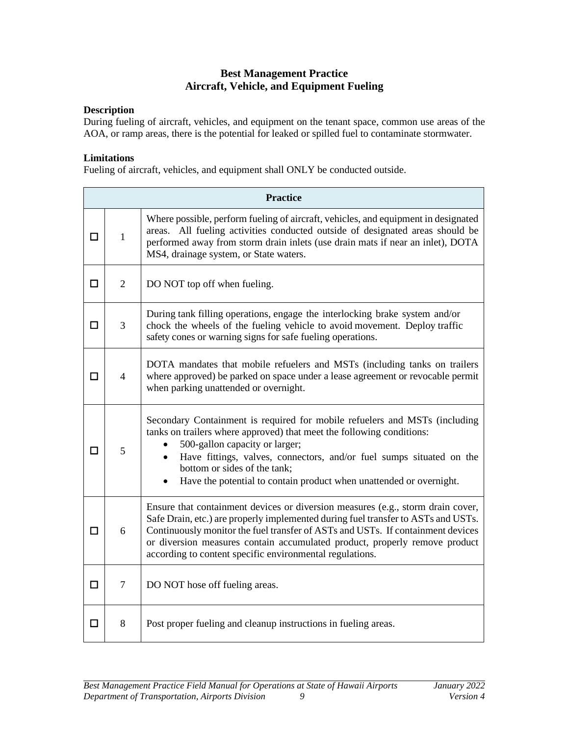# **Best Management Practice Aircraft, Vehicle, and Equipment Fueling**

#### <span id="page-12-0"></span>**Description**

During fueling of aircraft, vehicles, and equipment on the tenant space, common use areas of the AOA, or ramp areas, there is the potential for leaked or spilled fuel to contaminate stormwater.

#### **Limitations**

Fueling of aircraft, vehicles, and equipment shall ONLY be conducted outside.

|        | <b>Practice</b> |                                                                                                                                                                                                                                                                                                                                                                                                   |  |
|--------|-----------------|---------------------------------------------------------------------------------------------------------------------------------------------------------------------------------------------------------------------------------------------------------------------------------------------------------------------------------------------------------------------------------------------------|--|
| П      | $\mathbf{1}$    | Where possible, perform fueling of aircraft, vehicles, and equipment in designated<br>areas. All fueling activities conducted outside of designated areas should be<br>performed away from storm drain inlets (use drain mats if near an inlet), DOTA<br>MS4, drainage system, or State waters.                                                                                                   |  |
| $\Box$ | $\overline{2}$  | DO NOT top off when fueling.                                                                                                                                                                                                                                                                                                                                                                      |  |
| □      | 3               | During tank filling operations, engage the interlocking brake system and/or<br>chock the wheels of the fueling vehicle to avoid movement. Deploy traffic<br>safety cones or warning signs for safe fueling operations.                                                                                                                                                                            |  |
| П      | $\overline{4}$  | DOTA mandates that mobile refuelers and MSTs (including tanks on trailers<br>where approved) be parked on space under a lease agreement or revocable permit<br>when parking unattended or overnight.                                                                                                                                                                                              |  |
| П      | 5               | Secondary Containment is required for mobile refuelers and MSTs (including<br>tanks on trailers where approved) that meet the following conditions:<br>500-gallon capacity or larger;<br>Have fittings, valves, connectors, and/or fuel sumps situated on the<br>bottom or sides of the tank;<br>Have the potential to contain product when unattended or overnight.<br>$\bullet$                 |  |
| □      | 6               | Ensure that containment devices or diversion measures (e.g., storm drain cover,<br>Safe Drain, etc.) are properly implemented during fuel transfer to ASTs and USTs.<br>Continuously monitor the fuel transfer of ASTs and USTs. If containment devices<br>or diversion measures contain accumulated product, properly remove product<br>according to content specific environmental regulations. |  |
| $\Box$ | $\overline{7}$  | DO NOT hose off fueling areas.                                                                                                                                                                                                                                                                                                                                                                    |  |
| $\Box$ | 8               | Post proper fueling and cleanup instructions in fueling areas.                                                                                                                                                                                                                                                                                                                                    |  |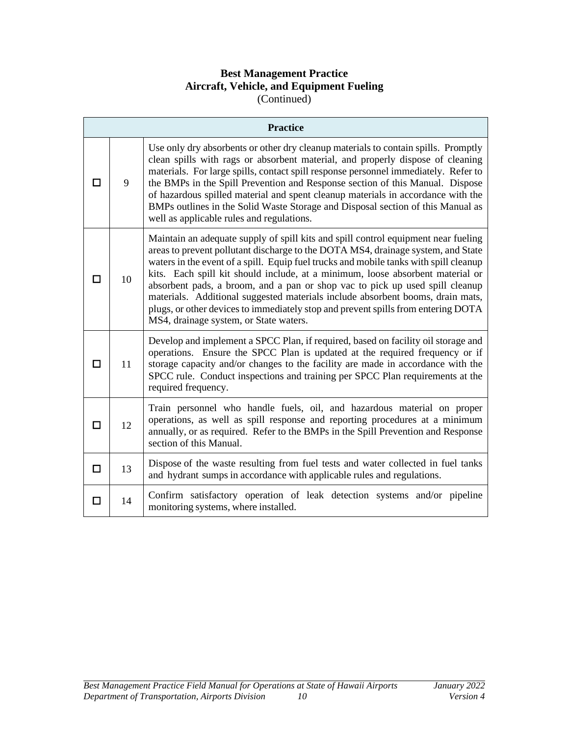# **Best Management Practice Aircraft, Vehicle, and Equipment Fueling** (Continued)

|        | <b>Practice</b> |                                                                                                                                                                                                                                                                                                                                                                                                                                                                                                                                                                                                                                                    |  |
|--------|-----------------|----------------------------------------------------------------------------------------------------------------------------------------------------------------------------------------------------------------------------------------------------------------------------------------------------------------------------------------------------------------------------------------------------------------------------------------------------------------------------------------------------------------------------------------------------------------------------------------------------------------------------------------------------|--|
|        | 9               | Use only dry absorbents or other dry cleanup materials to contain spills. Promptly<br>clean spills with rags or absorbent material, and properly dispose of cleaning<br>materials. For large spills, contact spill response personnel immediately. Refer to<br>the BMPs in the Spill Prevention and Response section of this Manual. Dispose<br>of hazardous spilled material and spent cleanup materials in accordance with the<br>BMPs outlines in the Solid Waste Storage and Disposal section of this Manual as<br>well as applicable rules and regulations.                                                                                   |  |
|        | 10              | Maintain an adequate supply of spill kits and spill control equipment near fueling<br>areas to prevent pollutant discharge to the DOTA MS4, drainage system, and State<br>waters in the event of a spill. Equip fuel trucks and mobile tanks with spill cleanup<br>kits. Each spill kit should include, at a minimum, loose absorbent material or<br>absorbent pads, a broom, and a pan or shop vac to pick up used spill cleanup<br>materials. Additional suggested materials include absorbent booms, drain mats,<br>plugs, or other devices to immediately stop and prevent spills from entering DOTA<br>MS4, drainage system, or State waters. |  |
| П      | 11              | Develop and implement a SPCC Plan, if required, based on facility oil storage and<br>operations. Ensure the SPCC Plan is updated at the required frequency or if<br>storage capacity and/or changes to the facility are made in accordance with the<br>SPCC rule. Conduct inspections and training per SPCC Plan requirements at the<br>required frequency.                                                                                                                                                                                                                                                                                        |  |
| $\Box$ | 12              | Train personnel who handle fuels, oil, and hazardous material on proper<br>operations, as well as spill response and reporting procedures at a minimum<br>annually, or as required. Refer to the BMPs in the Spill Prevention and Response<br>section of this Manual.                                                                                                                                                                                                                                                                                                                                                                              |  |
| □      | 13              | Dispose of the waste resulting from fuel tests and water collected in fuel tanks<br>and hydrant sumps in accordance with applicable rules and regulations.                                                                                                                                                                                                                                                                                                                                                                                                                                                                                         |  |
| П      | 14              | Confirm satisfactory operation of leak detection systems and/or pipeline<br>monitoring systems, where installed.                                                                                                                                                                                                                                                                                                                                                                                                                                                                                                                                   |  |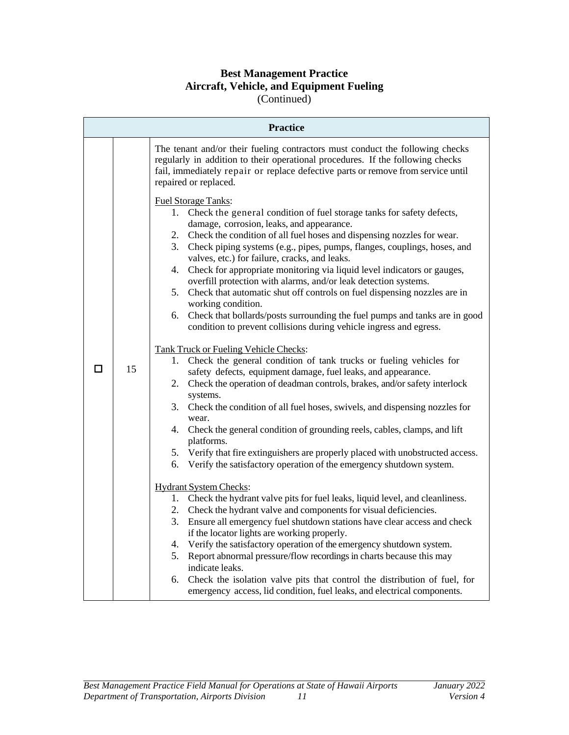#### **Best Management Practice Aircraft, Vehicle, and Equipment Fueling** (Continued)

**Practice** The tenant and/or their fueling contractors must conduct the following checks regularly in addition to their operational procedures. If the following checks fail, immediately repair or replace defective parts or remove from service until repaired or replaced. Fuel Storage Tanks: 1. Check the general condition of fuel storage tanks for safety defects, damage, corrosion, leaks, and appearance. 2. Check the condition of all fuel hoses and dispensing nozzles for wear. 3. Check piping systems (e.g., pipes, pumps, flanges, couplings, hoses, and valves, etc.) for failure, cracks, and leaks. 4. Check for appropriate monitoring via liquid level indicators or gauges, overfill protection with alarms, and/or leak detection systems. 5. Check that automatic shut off controls on fuel dispensing nozzles are in working condition.

#### 6. Check that bollards/posts surrounding the fuel pumps and tanks are in good condition to prevent collisions during vehicle ingress and egress.

Tank Truck or Fueling Vehicle Checks:

- 1. Check the general condition of tank trucks or fueling vehicles for safety defects, equipment damage, fuel leaks, and appearance.
- 2. Check the operation of deadman controls, brakes, and/or safety interlock systems.
- 3. Check the condition of all fuel hoses, swivels, and dispensing nozzles for wear.
- 4. Check the general condition of grounding reels, cables, clamps, and lift platforms.
- 5. Verify that fire extinguishers are properly placed with unobstructed access.
- 6. Verify the satisfactory operation of the emergency shutdown system.

# Hydrant System Checks:

 $\Box$  15

- 1. Check the hydrant valve pits for fuel leaks, liquid level, and cleanliness.
- 2. Check the hydrant valve and components for visual deficiencies.
- 3. Ensure all emergency fuel shutdown stations have clear access and check if the locator lights are working properly.
- 4. Verify the satisfactory operation of the emergency shutdown system.
- 5. Report abnormal pressure/flow recordings in charts because this may indicate leaks.
- 6. Check the isolation valve pits that control the distribution of fuel, for emergency access, lid condition, fuel leaks, and electrical components.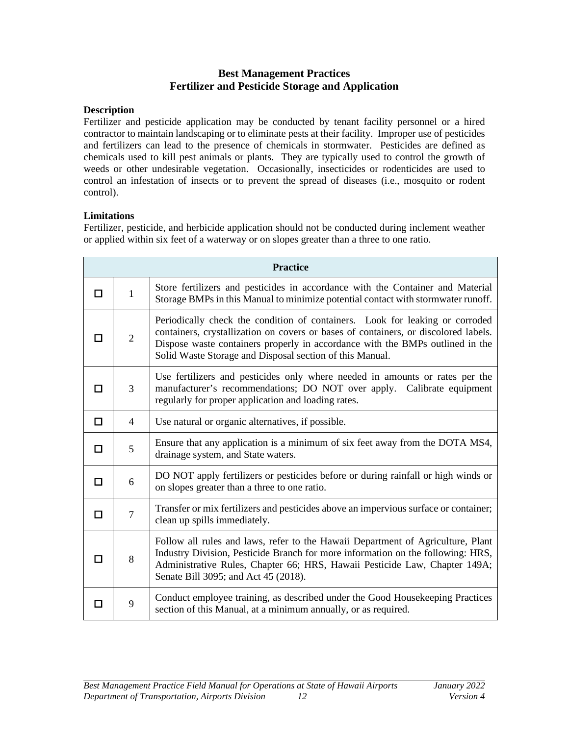# **Best Management Practices Fertilizer and Pesticide Storage and Application**

#### <span id="page-15-0"></span>**Description**

Fertilizer and pesticide application may be conducted by tenant facility personnel or a hired contractor to maintain landscaping or to eliminate pests at their facility. Improper use of pesticides and fertilizers can lead to the presence of chemicals in stormwater. Pesticides are defined as chemicals used to kill pest animals or plants. They are typically used to control the growth of weeds or other undesirable vegetation. Occasionally, insecticides or rodenticides are used to control an infestation of insects or to prevent the spread of diseases (i.e., mosquito or rodent control).

# **Limitations**

Fertilizer, pesticide, and herbicide application should not be conducted during inclement weather or applied within six feet of a waterway or on slopes greater than a three to one ratio.

|   | <b>Practice</b> |                                                                                                                                                                                                                                                                                                                  |  |  |
|---|-----------------|------------------------------------------------------------------------------------------------------------------------------------------------------------------------------------------------------------------------------------------------------------------------------------------------------------------|--|--|
| П | $\mathbf{1}$    | Store fertilizers and pesticides in accordance with the Container and Material<br>Storage BMPs in this Manual to minimize potential contact with stormwater runoff.                                                                                                                                              |  |  |
|   | $\overline{2}$  | Periodically check the condition of containers. Look for leaking or corroded<br>containers, crystallization on covers or bases of containers, or discolored labels.<br>Dispose waste containers properly in accordance with the BMPs outlined in the<br>Solid Waste Storage and Disposal section of this Manual. |  |  |
| П | 3               | Use fertilizers and pesticides only where needed in amounts or rates per the<br>manufacturer's recommendations; DO NOT over apply. Calibrate equipment<br>regularly for proper application and loading rates.                                                                                                    |  |  |
| □ | 4               | Use natural or organic alternatives, if possible.                                                                                                                                                                                                                                                                |  |  |
| п | 5               | Ensure that any application is a minimum of six feet away from the DOTA MS4,<br>drainage system, and State waters.                                                                                                                                                                                               |  |  |
| п | 6               | DO NOT apply fertilizers or pesticides before or during rainfall or high winds or<br>on slopes greater than a three to one ratio.                                                                                                                                                                                |  |  |
| п | $\overline{7}$  | Transfer or mix fertilizers and pesticides above an impervious surface or container;<br>clean up spills immediately.                                                                                                                                                                                             |  |  |
| П | 8               | Follow all rules and laws, refer to the Hawaii Department of Agriculture, Plant<br>Industry Division, Pesticide Branch for more information on the following: HRS,<br>Administrative Rules, Chapter 66; HRS, Hawaii Pesticide Law, Chapter 149A;<br>Senate Bill 3095; and Act 45 (2018).                         |  |  |
|   | 9               | Conduct employee training, as described under the Good Housekeeping Practices<br>section of this Manual, at a minimum annually, or as required.                                                                                                                                                                  |  |  |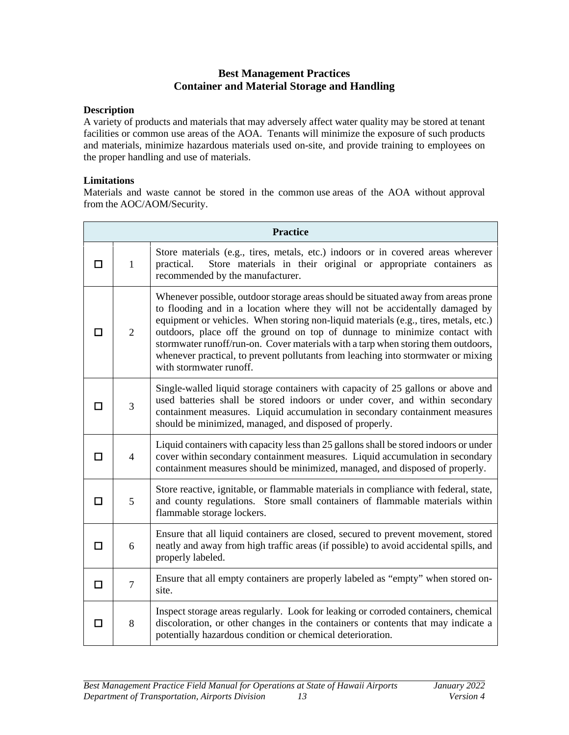# **Best Management Practices Container and Material Storage and Handling**

#### <span id="page-16-0"></span>**Description**

A variety of products and materials that may adversely affect water quality may be stored at tenant facilities or common use areas of the AOA. Tenants will minimize the exposure of such products and materials, minimize hazardous materials used on-site, and provide training to employees on the proper handling and use of materials.

#### **Limitations**

Materials and waste cannot be stored in the common use areas of the AOA without approval from the AOC/AOM/Security.

|        | <b>Practice</b> |                                                                                                                                                                                                                                                                                                                                                                                                                                                                                                                                             |  |  |
|--------|-----------------|---------------------------------------------------------------------------------------------------------------------------------------------------------------------------------------------------------------------------------------------------------------------------------------------------------------------------------------------------------------------------------------------------------------------------------------------------------------------------------------------------------------------------------------------|--|--|
| п      | $\mathbf{1}$    | Store materials (e.g., tires, metals, etc.) indoors or in covered areas wherever<br>Store materials in their original or appropriate containers as<br>practical.<br>recommended by the manufacturer.                                                                                                                                                                                                                                                                                                                                        |  |  |
| П      | $\overline{2}$  | Whenever possible, outdoor storage areas should be situated away from areas prone<br>to flooding and in a location where they will not be accidentally damaged by<br>equipment or vehicles. When storing non-liquid materials (e.g., tires, metals, etc.)<br>outdoors, place off the ground on top of dunnage to minimize contact with<br>stormwater runoff/run-on. Cover materials with a tarp when storing them outdoors,<br>whenever practical, to prevent pollutants from leaching into stormwater or mixing<br>with stormwater runoff. |  |  |
| l 1    | 3               | Single-walled liquid storage containers with capacity of 25 gallons or above and<br>used batteries shall be stored indoors or under cover, and within secondary<br>containment measures. Liquid accumulation in secondary containment measures<br>should be minimized, managed, and disposed of properly.                                                                                                                                                                                                                                   |  |  |
| п      | $\overline{4}$  | Liquid containers with capacity less than 25 gallons shall be stored indoors or under<br>cover within secondary containment measures. Liquid accumulation in secondary<br>containment measures should be minimized, managed, and disposed of properly.                                                                                                                                                                                                                                                                                      |  |  |
| П      | 5               | Store reactive, ignitable, or flammable materials in compliance with federal, state,<br>and county regulations. Store small containers of flammable materials within<br>flammable storage lockers.                                                                                                                                                                                                                                                                                                                                          |  |  |
| П      | 6               | Ensure that all liquid containers are closed, secured to prevent movement, stored<br>neatly and away from high traffic areas (if possible) to avoid accidental spills, and<br>properly labeled.                                                                                                                                                                                                                                                                                                                                             |  |  |
| $\Box$ | $\tau$          | Ensure that all empty containers are properly labeled as "empty" when stored on-<br>site.                                                                                                                                                                                                                                                                                                                                                                                                                                                   |  |  |
| П      | 8               | Inspect storage areas regularly. Look for leaking or corroded containers, chemical<br>discoloration, or other changes in the containers or contents that may indicate a<br>potentially hazardous condition or chemical deterioration.                                                                                                                                                                                                                                                                                                       |  |  |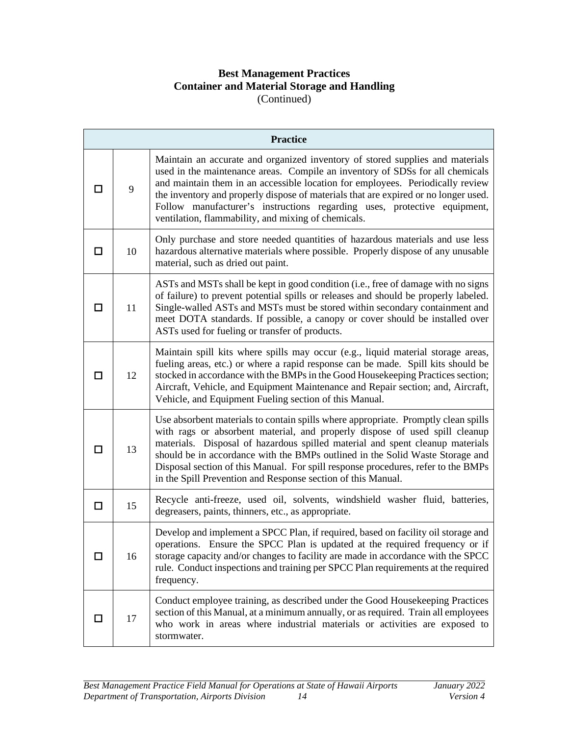# **Best Management Practices Container and Material Storage and Handling** (Continued)

|     |    | <b>Practice</b>                                                                                                                                                                                                                                                                                                                                                                                                                                                                          |
|-----|----|------------------------------------------------------------------------------------------------------------------------------------------------------------------------------------------------------------------------------------------------------------------------------------------------------------------------------------------------------------------------------------------------------------------------------------------------------------------------------------------|
|     | 9  | Maintain an accurate and organized inventory of stored supplies and materials<br>used in the maintenance areas. Compile an inventory of SDSs for all chemicals<br>and maintain them in an accessible location for employees. Periodically review<br>the inventory and properly dispose of materials that are expired or no longer used.<br>Follow manufacturer's instructions regarding uses, protective equipment,<br>ventilation, flammability, and mixing of chemicals.               |
| П   | 10 | Only purchase and store needed quantities of hazardous materials and use less<br>hazardous alternative materials where possible. Properly dispose of any unusable<br>material, such as dried out paint.                                                                                                                                                                                                                                                                                  |
| П   | 11 | ASTs and MSTs shall be kept in good condition (i.e., free of damage with no signs<br>of failure) to prevent potential spills or releases and should be properly labeled.<br>Single-walled ASTs and MSTs must be stored within secondary containment and<br>meet DOTA standards. If possible, a canopy or cover should be installed over<br>ASTs used for fueling or transfer of products.                                                                                                |
| l 1 | 12 | Maintain spill kits where spills may occur (e.g., liquid material storage areas,<br>fueling areas, etc.) or where a rapid response can be made. Spill kits should be<br>stocked in accordance with the BMPs in the Good Housekeeping Practices section;<br>Aircraft, Vehicle, and Equipment Maintenance and Repair section; and, Aircraft,<br>Vehicle, and Equipment Fueling section of this Manual.                                                                                     |
| П   | 13 | Use absorbent materials to contain spills where appropriate. Promptly clean spills<br>with rags or absorbent material, and properly dispose of used spill cleanup<br>materials. Disposal of hazardous spilled material and spent cleanup materials<br>should be in accordance with the BMPs outlined in the Solid Waste Storage and<br>Disposal section of this Manual. For spill response procedures, refer to the BMPs<br>in the Spill Prevention and Response section of this Manual. |
| □   | 15 | Recycle anti-freeze, used oil, solvents, windshield washer fluid, batteries,<br>degreasers, paints, thinners, etc., as appropriate.                                                                                                                                                                                                                                                                                                                                                      |
| П   | 16 | Develop and implement a SPCC Plan, if required, based on facility oil storage and<br>operations. Ensure the SPCC Plan is updated at the required frequency or if<br>storage capacity and/or changes to facility are made in accordance with the SPCC<br>rule. Conduct inspections and training per SPCC Plan requirements at the required<br>frequency.                                                                                                                                  |
| □   | 17 | Conduct employee training, as described under the Good Housekeeping Practices<br>section of this Manual, at a minimum annually, or as required. Train all employees<br>who work in areas where industrial materials or activities are exposed to<br>stormwater.                                                                                                                                                                                                                          |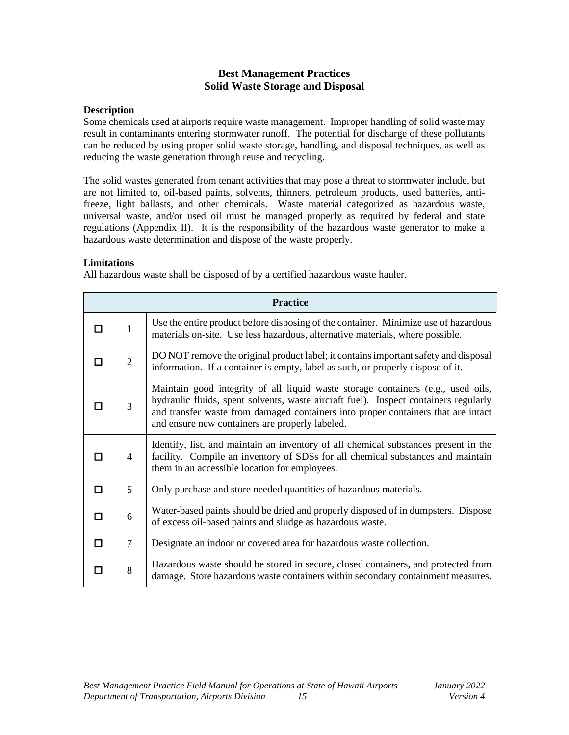# **Best Management Practices Solid Waste Storage and Disposal**

#### <span id="page-18-0"></span>**Description**

Some chemicals used at airports require waste management. Improper handling of solid waste may result in contaminants entering stormwater runoff. The potential for discharge of these pollutants can be reduced by using proper solid waste storage, handling, and disposal techniques, as well as reducing the waste generation through reuse and recycling.

The solid wastes generated from tenant activities that may pose a threat to stormwater include, but are not limited to, oil-based paints, solvents, thinners, petroleum products, used batteries, antifreeze, light ballasts, and other chemicals. Waste material categorized as hazardous waste, universal waste, and/or used oil must be managed properly as required by federal and state regulations (Appendix II). It is the responsibility of the hazardous waste generator to make a hazardous waste determination and dispose of the waste properly.

#### **Limitations**

All hazardous waste shall be disposed of by a certified hazardous waste hauler.

|   | <b>Practice</b> |                                                                                                                                                                                                                                                                                                                  |  |
|---|-----------------|------------------------------------------------------------------------------------------------------------------------------------------------------------------------------------------------------------------------------------------------------------------------------------------------------------------|--|
| П | $\mathbf{1}$    | Use the entire product before disposing of the container. Minimize use of hazardous<br>materials on-site. Use less hazardous, alternative materials, where possible.                                                                                                                                             |  |
| П | $\overline{2}$  | DO NOT remove the original product label; it contains important safety and disposal<br>information. If a container is empty, label as such, or properly dispose of it.                                                                                                                                           |  |
|   | 3               | Maintain good integrity of all liquid waste storage containers (e.g., used oils,<br>hydraulic fluids, spent solvents, waste aircraft fuel). Inspect containers regularly<br>and transfer waste from damaged containers into proper containers that are intact<br>and ensure new containers are properly labeled. |  |
| ш | 4               | Identify, list, and maintain an inventory of all chemical substances present in the<br>facility. Compile an inventory of SDSs for all chemical substances and maintain<br>them in an accessible location for employees.                                                                                          |  |
| □ | 5               | Only purchase and store needed quantities of hazardous materials.                                                                                                                                                                                                                                                |  |
| П | 6               | Water-based paints should be dried and properly disposed of in dumpsters. Dispose<br>of excess oil-based paints and sludge as hazardous waste.                                                                                                                                                                   |  |
| п | 7               | Designate an indoor or covered area for hazardous waste collection.                                                                                                                                                                                                                                              |  |
|   | 8               | Hazardous waste should be stored in secure, closed containers, and protected from<br>damage. Store hazardous waste containers within secondary containment measures.                                                                                                                                             |  |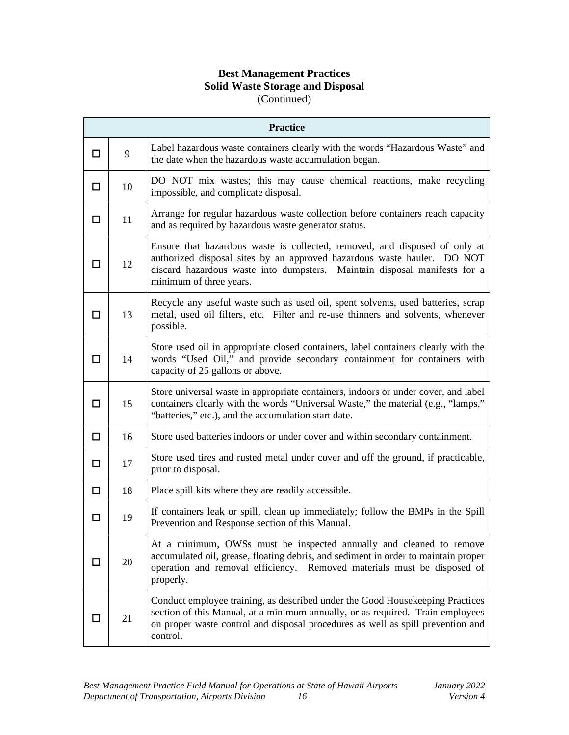# **Best Management Practices Solid Waste Storage and Disposal** (Continued)

|        | <b>Practice</b> |                                                                                                                                                                                                                                                                |  |  |  |
|--------|-----------------|----------------------------------------------------------------------------------------------------------------------------------------------------------------------------------------------------------------------------------------------------------------|--|--|--|
| $\Box$ | 9               | Label hazardous waste containers clearly with the words "Hazardous Waste" and<br>the date when the hazardous waste accumulation began.                                                                                                                         |  |  |  |
| ◻      | 10              | DO NOT mix wastes; this may cause chemical reactions, make recycling<br>impossible, and complicate disposal.                                                                                                                                                   |  |  |  |
| $\Box$ | 11              | Arrange for regular hazardous waste collection before containers reach capacity<br>and as required by hazardous waste generator status.                                                                                                                        |  |  |  |
| П      | 12              | Ensure that hazardous waste is collected, removed, and disposed of only at<br>authorized disposal sites by an approved hazardous waste hauler. DO NOT<br>discard hazardous waste into dumpsters. Maintain disposal manifests for a<br>minimum of three years.  |  |  |  |
| □      | 13              | Recycle any useful waste such as used oil, spent solvents, used batteries, scrap<br>metal, used oil filters, etc. Filter and re-use thinners and solvents, whenever<br>possible.                                                                               |  |  |  |
| □      | 14              | Store used oil in appropriate closed containers, label containers clearly with the<br>words "Used Oil," and provide secondary containment for containers with<br>capacity of 25 gallons or above.                                                              |  |  |  |
| □      | 15              | Store universal waste in appropriate containers, indoors or under cover, and label<br>containers clearly with the words "Universal Waste," the material (e.g., "lamps,"<br>"batteries," etc.), and the accumulation start date.                                |  |  |  |
| □      | 16              | Store used batteries indoors or under cover and within secondary containment.                                                                                                                                                                                  |  |  |  |
| П      | 17              | Store used tires and rusted metal under cover and off the ground, if practicable,<br>prior to disposal.                                                                                                                                                        |  |  |  |
| $\Box$ | 18              | Place spill kits where they are readily accessible.                                                                                                                                                                                                            |  |  |  |
| □      | 19              | If containers leak or spill, clean up immediately; follow the BMPs in the Spill<br>Prevention and Response section of this Manual.                                                                                                                             |  |  |  |
| П      | 20              | At a minimum, OWSs must be inspected annually and cleaned to remove<br>accumulated oil, grease, floating debris, and sediment in order to maintain proper<br>operation and removal efficiency. Removed materials must be disposed of<br>properly.              |  |  |  |
| П      | 21              | Conduct employee training, as described under the Good Housekeeping Practices<br>section of this Manual, at a minimum annually, or as required. Train employees<br>on proper waste control and disposal procedures as well as spill prevention and<br>control. |  |  |  |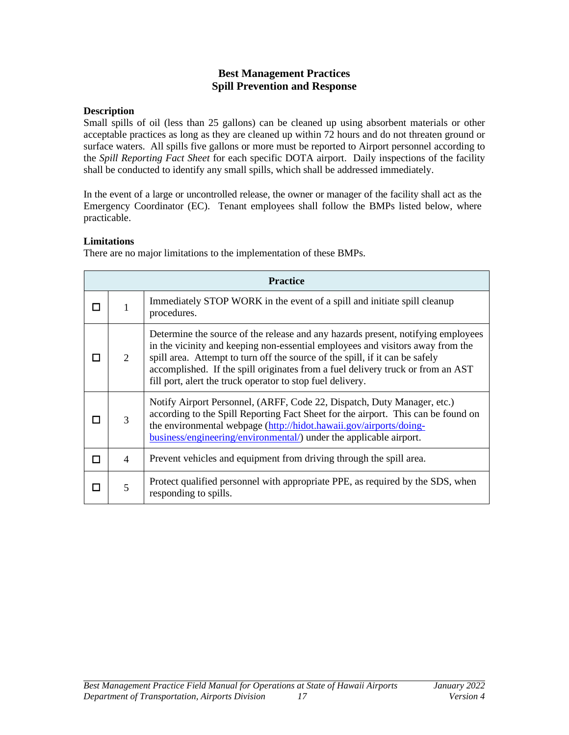# **Best Management Practices Spill Prevention and Response**

#### <span id="page-20-0"></span>**Description**

Small spills of oil (less than 25 gallons) can be cleaned up using absorbent materials or other acceptable practices as long as they are cleaned up within 72 hours and do not threaten ground or surface waters. All spills five gallons or more must be reported to Airport personnel according to the *Spill Reporting Fact Sheet* for each specific DOTA airport. Daily inspections of the facility shall be conducted to identify any small spills, which shall be addressed immediately.

In the event of a large or uncontrolled release, the owner or manager of the facility shall act as the Emergency Coordinator (EC). Tenant employees shall follow the BMPs listed below, where practicable.

# **Limitations**

There are no major limitations to the implementation of these BMPs.

|   | <b>Practice</b>                                                                                                                                                                                                                                                                                               |                                                                                                                                                                                                                                                                                                                                                                                                     |  |  |
|---|---------------------------------------------------------------------------------------------------------------------------------------------------------------------------------------------------------------------------------------------------------------------------------------------------------------|-----------------------------------------------------------------------------------------------------------------------------------------------------------------------------------------------------------------------------------------------------------------------------------------------------------------------------------------------------------------------------------------------------|--|--|
|   |                                                                                                                                                                                                                                                                                                               | Immediately STOP WORK in the event of a spill and initiate spill cleanup<br>procedures.                                                                                                                                                                                                                                                                                                             |  |  |
|   | 2                                                                                                                                                                                                                                                                                                             | Determine the source of the release and any hazards present, notifying employees<br>in the vicinity and keeping non-essential employees and visitors away from the<br>spill area. Attempt to turn off the source of the spill, if it can be safely<br>accomplished. If the spill originates from a fuel delivery truck or from an AST<br>fill port, alert the truck operator to stop fuel delivery. |  |  |
|   | Notify Airport Personnel, (ARFF, Code 22, Dispatch, Duty Manager, etc.)<br>according to the Spill Reporting Fact Sheet for the airport. This can be found on<br>3<br>the environmental webpage (http://hidot.hawaii.gov/airports/doing-<br>business/engineering/environmental/) under the applicable airport. |                                                                                                                                                                                                                                                                                                                                                                                                     |  |  |
| п | 4                                                                                                                                                                                                                                                                                                             | Prevent vehicles and equipment from driving through the spill area.                                                                                                                                                                                                                                                                                                                                 |  |  |
|   | 5                                                                                                                                                                                                                                                                                                             | Protect qualified personnel with appropriate PPE, as required by the SDS, when<br>responding to spills.                                                                                                                                                                                                                                                                                             |  |  |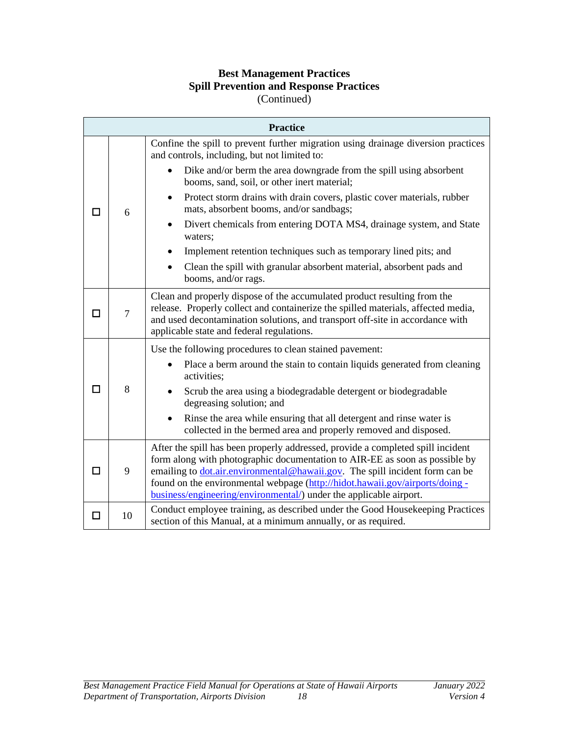# **Best Management Practices Spill Prevention and Response Practices**

(Continued)

|        | <b>Practice</b> |                                                                                                                                                                                                                                                                                                                                                                                                              |  |  |
|--------|-----------------|--------------------------------------------------------------------------------------------------------------------------------------------------------------------------------------------------------------------------------------------------------------------------------------------------------------------------------------------------------------------------------------------------------------|--|--|
|        |                 | Confine the spill to prevent further migration using drainage diversion practices<br>and controls, including, but not limited to:                                                                                                                                                                                                                                                                            |  |  |
|        |                 | Dike and/or berm the area downgrade from the spill using absorbent<br>booms, sand, soil, or other inert material;                                                                                                                                                                                                                                                                                            |  |  |
|        | 6               | Protect storm drains with drain covers, plastic cover materials, rubber<br>$\bullet$<br>mats, absorbent booms, and/or sandbags;                                                                                                                                                                                                                                                                              |  |  |
|        |                 | Divert chemicals from entering DOTA MS4, drainage system, and State<br>waters;                                                                                                                                                                                                                                                                                                                               |  |  |
|        |                 | Implement retention techniques such as temporary lined pits; and                                                                                                                                                                                                                                                                                                                                             |  |  |
|        |                 | Clean the spill with granular absorbent material, absorbent pads and<br>booms, and/or rags.                                                                                                                                                                                                                                                                                                                  |  |  |
|        | $\overline{7}$  | Clean and properly dispose of the accumulated product resulting from the<br>release. Properly collect and containerize the spilled materials, affected media,<br>and used decontamination solutions, and transport off-site in accordance with<br>applicable state and federal regulations.                                                                                                                  |  |  |
|        | 8               | Use the following procedures to clean stained pavement:                                                                                                                                                                                                                                                                                                                                                      |  |  |
|        |                 | Place a berm around the stain to contain liquids generated from cleaning<br>activities:                                                                                                                                                                                                                                                                                                                      |  |  |
| ш      |                 | Scrub the area using a biodegradable detergent or biodegradable<br>degreasing solution; and                                                                                                                                                                                                                                                                                                                  |  |  |
|        |                 | Rinse the area while ensuring that all detergent and rinse water is<br>$\bullet$<br>collected in the bermed area and properly removed and disposed.                                                                                                                                                                                                                                                          |  |  |
|        | 9               | After the spill has been properly addressed, provide a completed spill incident<br>form along with photographic documentation to AIR-EE as soon as possible by<br>emailing to <i>dot.air.environmental@hawaii.gov</i> . The spill incident form can be<br>found on the environmental webpage (http://hidot.hawaii.gov/airports/doing -<br>business/engineering/environmental/) under the applicable airport. |  |  |
| $\Box$ | 10              | Conduct employee training, as described under the Good Housekeeping Practices<br>section of this Manual, at a minimum annually, or as required.                                                                                                                                                                                                                                                              |  |  |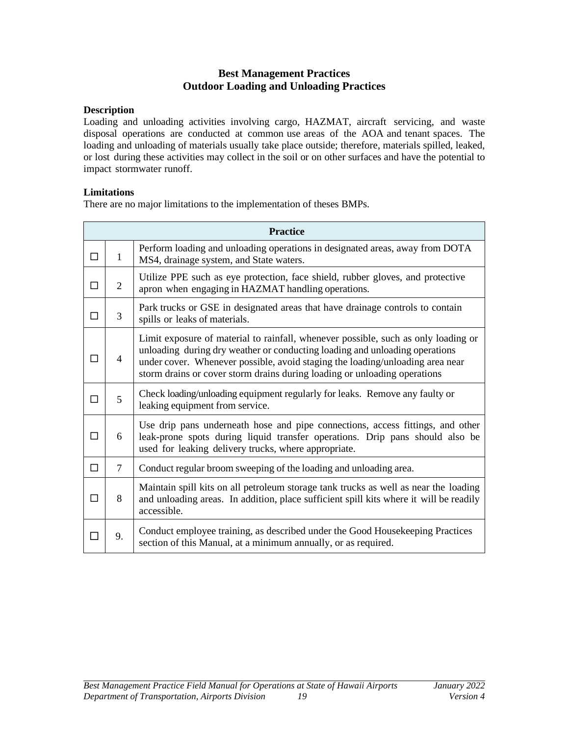# **Best Management Practices Outdoor Loading and Unloading Practices**

#### <span id="page-22-0"></span>**Description**

Loading and unloading activities involving cargo, HAZMAT, aircraft servicing, and waste disposal operations are conducted at common use areas of the AOA and tenant spaces. The loading and unloading of materials usually take place outside; therefore, materials spilled, leaked, or lost during these activities may collect in the soil or on other surfaces and have the potential to impact stormwater runoff.

#### **Limitations**

There are no major limitations to the implementation of theses BMPs.

|        | <b>Practice</b> |                                                                                                                                                                                                                                                                                                                                 |  |  |
|--------|-----------------|---------------------------------------------------------------------------------------------------------------------------------------------------------------------------------------------------------------------------------------------------------------------------------------------------------------------------------|--|--|
| П      | $\mathbf{1}$    | Perform loading and unloading operations in designated areas, away from DOTA<br>MS4, drainage system, and State waters.                                                                                                                                                                                                         |  |  |
| ┑      | 2               | Utilize PPE such as eye protection, face shield, rubber gloves, and protective<br>apron when engaging in HAZMAT handling operations.                                                                                                                                                                                            |  |  |
| п      | 3               | Park trucks or GSE in designated areas that have drainage controls to contain<br>spills or leaks of materials.                                                                                                                                                                                                                  |  |  |
|        | $\overline{4}$  | Limit exposure of material to rainfall, whenever possible, such as only loading or<br>unloading during dry weather or conducting loading and unloading operations<br>under cover. Whenever possible, avoid staging the loading/unloading area near<br>storm drains or cover storm drains during loading or unloading operations |  |  |
| П      | 5               | Check loading/unloading equipment regularly for leaks. Remove any faulty or<br>leaking equipment from service.                                                                                                                                                                                                                  |  |  |
| □      | 6               | Use drip pans underneath hose and pipe connections, access fittings, and other<br>leak-prone spots during liquid transfer operations. Drip pans should also be<br>used for leaking delivery trucks, where appropriate.                                                                                                          |  |  |
| $\Box$ | $\overline{7}$  | Conduct regular broom sweeping of the loading and unloading area.                                                                                                                                                                                                                                                               |  |  |
| ┐      | 8               | Maintain spill kits on all petroleum storage tank trucks as well as near the loading<br>and unloading areas. In addition, place sufficient spill kits where it will be readily<br>accessible.                                                                                                                                   |  |  |
| П      | 9.              | Conduct employee training, as described under the Good Housekeeping Practices<br>section of this Manual, at a minimum annually, or as required.                                                                                                                                                                                 |  |  |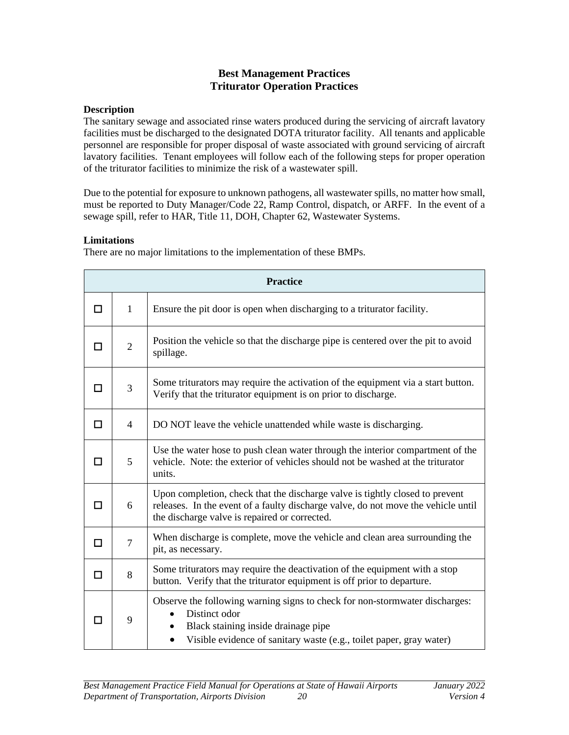# **Best Management Practices Triturator Operation Practices**

#### <span id="page-23-0"></span>**Description**

The sanitary sewage and associated rinse waters produced during the servicing of aircraft lavatory facilities must be discharged to the designated DOTA triturator facility. All tenants and applicable personnel are responsible for proper disposal of waste associated with ground servicing of aircraft lavatory facilities. Tenant employees will follow each of the following steps for proper operation of the triturator facilities to minimize the risk of a wastewater spill.

Due to the potential for exposure to unknown pathogens, all wastewater spills, no matter how small, must be reported to Duty Manager/Code 22, Ramp Control, dispatch, or ARFF. In the event of a sewage spill, refer to HAR, Title 11, DOH, Chapter 62, Wastewater Systems.

#### **Limitations**

There are no major limitations to the implementation of these BMPs.

|   | <b>Practice</b> |                                                                                                                                                                                                                         |  |  |
|---|-----------------|-------------------------------------------------------------------------------------------------------------------------------------------------------------------------------------------------------------------------|--|--|
| П | $\mathbf{1}$    | Ensure the pit door is open when discharging to a triturator facility.                                                                                                                                                  |  |  |
| □ | $\overline{2}$  | Position the vehicle so that the discharge pipe is centered over the pit to avoid<br>spillage.                                                                                                                          |  |  |
| п | 3               | Some triturators may require the activation of the equipment via a start button.<br>Verify that the triturator equipment is on prior to discharge.                                                                      |  |  |
| п | 4               | DO NOT leave the vehicle unattended while waste is discharging.                                                                                                                                                         |  |  |
| п | 5               | Use the water hose to push clean water through the interior compartment of the<br>vehicle. Note: the exterior of vehicles should not be washed at the triturator<br>units.                                              |  |  |
| □ | 6               | Upon completion, check that the discharge valve is tightly closed to prevent<br>releases. In the event of a faulty discharge valve, do not move the vehicle until<br>the discharge valve is repaired or corrected.      |  |  |
| П | $\overline{7}$  | When discharge is complete, move the vehicle and clean area surrounding the<br>pit, as necessary.                                                                                                                       |  |  |
| П | 8               | Some triturators may require the deactivation of the equipment with a stop<br>button. Verify that the triturator equipment is off prior to departure.                                                                   |  |  |
| п | 9               | Observe the following warning signs to check for non-stormwater discharges:<br>Distinct odor<br>Black staining inside drainage pipe<br>Visible evidence of sanitary waste (e.g., toilet paper, gray water)<br>$\bullet$ |  |  |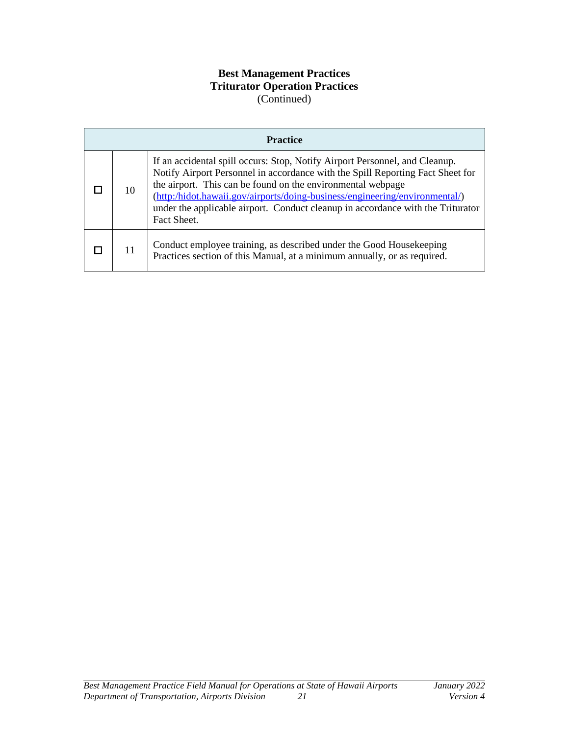# **Best Management Practices Triturator Operation Practices** (Continued)

| <b>Practice</b> |                                                                                                                                                                                                                                                                                                                                                                                                               |  |  |
|-----------------|---------------------------------------------------------------------------------------------------------------------------------------------------------------------------------------------------------------------------------------------------------------------------------------------------------------------------------------------------------------------------------------------------------------|--|--|
| 10              | If an accidental spill occurs: Stop, Notify Airport Personnel, and Cleanup.<br>Notify Airport Personnel in accordance with the Spill Reporting Fact Sheet for<br>the airport. This can be found on the environmental webpage<br>(http:/hidot.hawaii.gov/airports/doing-business/engineering/environmental/)<br>under the applicable airport. Conduct cleanup in accordance with the Triturator<br>Fact Sheet. |  |  |
| 11              | Conduct employee training, as described under the Good Housekeeping<br>Practices section of this Manual, at a minimum annually, or as required.                                                                                                                                                                                                                                                               |  |  |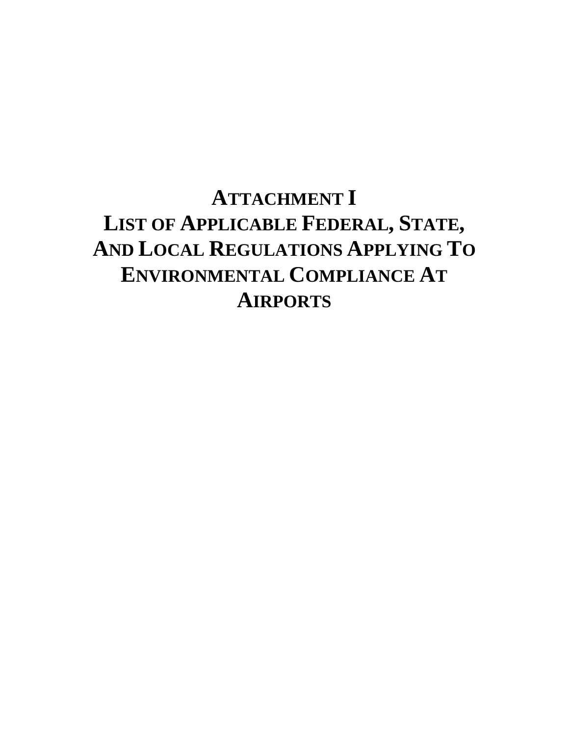# **ATTACHMENT I LIST OF APPLICABLE FEDERAL, STATE, AND LOCAL REGULATIONS APPLYING TO ENVIRONMENTAL COMPLIANCE AT AIRPORTS**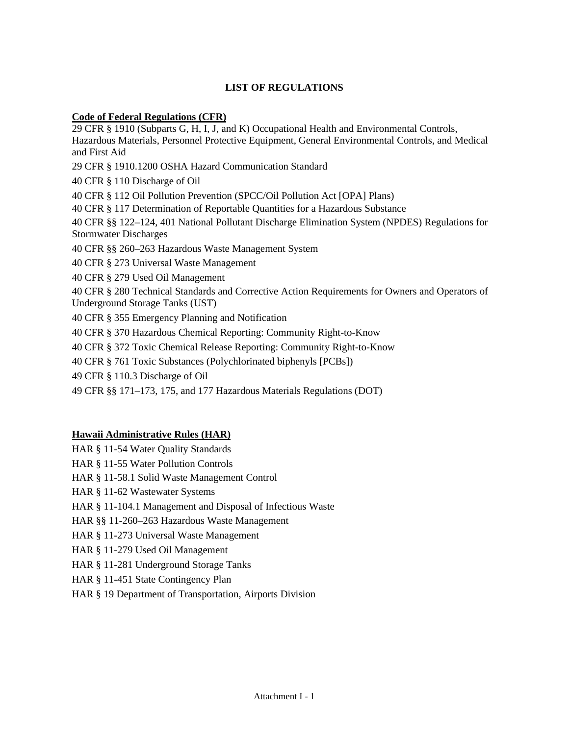#### **LIST OF REGULATIONS**

#### **Code of Federal Regulations (CFR)**

29 CFR § 1910 (Subparts G, H, I, J, and K) Occupational Health and Environmental Controls, Hazardous Materials, Personnel Protective Equipment, General Environmental Controls, and Medical and First Aid 29 CFR § 1910.1200 OSHA Hazard Communication Standard 40 CFR § 110 Discharge of Oil 40 CFR § 112 Oil Pollution Prevention (SPCC/Oil Pollution Act [OPA] Plans) 40 CFR § 117 Determination of Reportable Quantities for a Hazardous Substance 40 CFR §§ 122–124, 401 National Pollutant Discharge Elimination System (NPDES) Regulations for Stormwater Discharges 40 CFR §§ 260–263 Hazardous Waste Management System 40 CFR § 273 Universal Waste Management 40 CFR § 279 Used Oil Management 40 CFR § 280 Technical Standards and Corrective Action Requirements for Owners and Operators of Underground Storage Tanks (UST) 40 CFR § 355 Emergency Planning and Notification 40 CFR § 370 Hazardous Chemical Reporting: Community Right-to-Know 40 CFR § 372 Toxic Chemical Release Reporting: Community Right-to-Know 40 CFR § 761 Toxic Substances (Polychlorinated biphenyls [PCBs]) 49 CFR § 110.3 Discharge of Oil

49 CFR §§ 171–173, 175, and 177 Hazardous Materials Regulations (DOT)

#### **Hawaii Administrative Rules (HAR)**

- HAR § 11-54 Water Quality Standards
- HAR § 11-55 Water Pollution Controls
- HAR § 11-58.1 Solid Waste Management Control
- HAR § 11-62 Wastewater Systems
- HAR § 11-104.1 Management and Disposal of Infectious Waste
- HAR §§ 11-260–263 Hazardous Waste Management
- HAR § 11-273 Universal Waste Management
- HAR § 11-279 Used Oil Management
- HAR § 11-281 Underground Storage Tanks
- HAR § 11-451 State Contingency Plan
- HAR § 19 Department of Transportation, Airports Division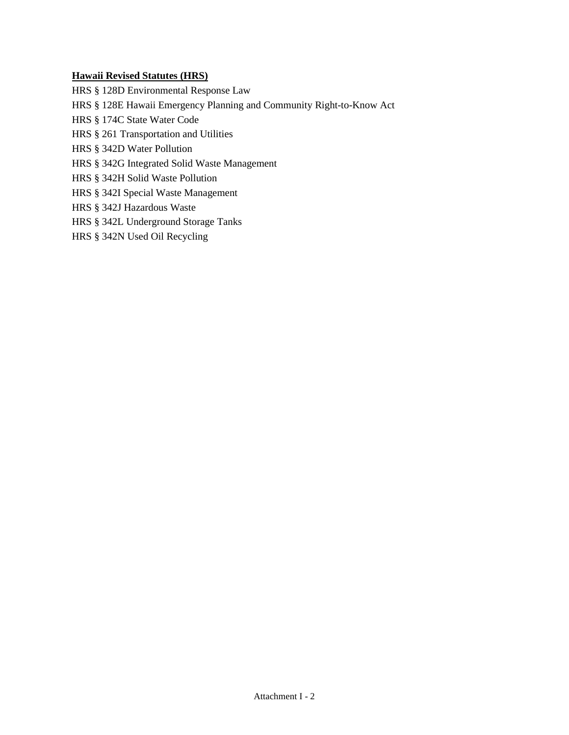#### **Hawaii Revised Statutes (HRS)**

HRS § 128D Environmental Response Law

HRS § 128E Hawaii Emergency Planning and Community Right-to-Know Act

HRS § 174C State Water Code

- HRS § 261 Transportation and Utilities
- HRS § 342D Water Pollution
- HRS § 342G Integrated Solid Waste Management
- HRS § 342H Solid Waste Pollution
- HRS § 342I Special Waste Management
- HRS § 342J Hazardous Waste
- HRS § 342L Underground Storage Tanks
- HRS § 342N Used Oil Recycling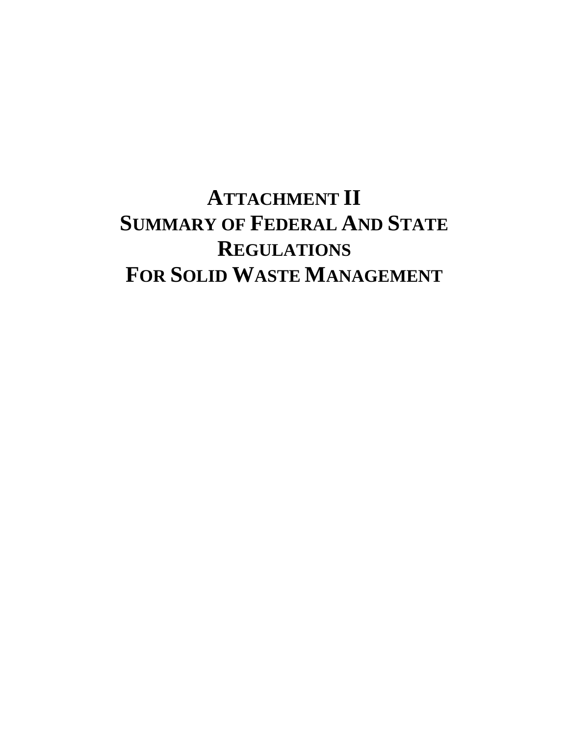# **ATTACHMENT II SUMMARY OF FEDERAL AND STATE REGULATIONS FOR SOLID WASTE MANAGEMENT**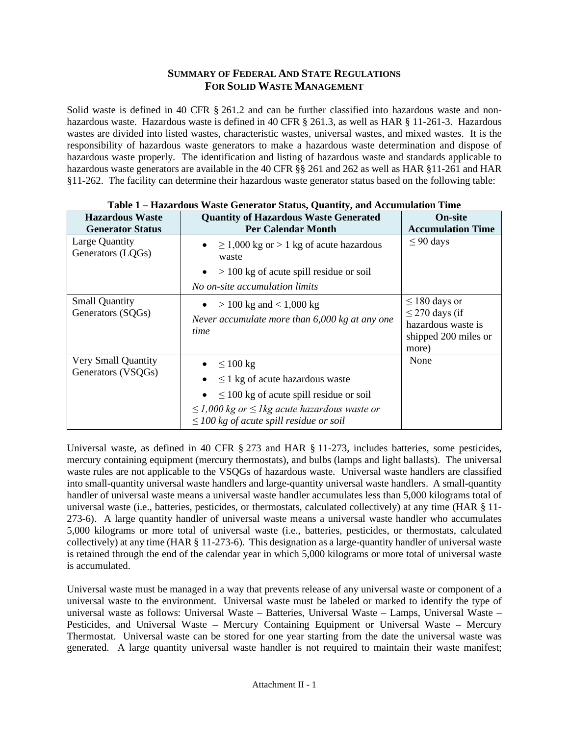## **SUMMARY OF FEDERAL AND STATE REGULATIONS FOR SOLID WASTE MANAGEMENT**

Solid waste is defined in 40 CFR § 261.2 and can be further classified into hazardous waste and nonhazardous waste. Hazardous waste is defined in 40 CFR § 261.3, as well as HAR § 11-261-3. Hazardous wastes are divided into listed wastes, characteristic wastes, universal wastes, and mixed wastes. It is the responsibility of hazardous waste generators to make a hazardous waste determination and dispose of hazardous waste properly. The identification and listing of hazardous waste and standards applicable to hazardous waste generators are available in the 40 CFR §§ 261 and 262 as well as HAR §11-261 and HAR §11-262. The facility can determine their hazardous waste generator status based on the following table:

| <b>Hazardous Waste</b>                     | <b>Quantity of Hazardous Waste Generated</b>                                                                                                                                                                                           | <b>On-site</b>                                                                                   |
|--------------------------------------------|----------------------------------------------------------------------------------------------------------------------------------------------------------------------------------------------------------------------------------------|--------------------------------------------------------------------------------------------------|
| <b>Generator Status</b>                    | <b>Per Calendar Month</b>                                                                                                                                                                                                              | <b>Accumulation Time</b>                                                                         |
| Large Quantity<br>Generators (LQGs)        | $\geq$ 1,000 kg or $>$ 1 kg of acute hazardous<br>$\bullet$<br>waste<br>$> 100$ kg of acute spill residue or soil<br>$\bullet$<br>No on-site accumulation limits                                                                       | $\leq$ 90 days                                                                                   |
| <b>Small Quantity</b><br>Generators (SQGs) | $> 100 \text{ kg}$ and $< 1,000 \text{ kg}$<br>Never accumulate more than $6,000$ kg at any one<br>time                                                                                                                                | $\leq$ 180 days or<br>$\leq$ 270 days (if<br>hazardous waste is<br>shipped 200 miles or<br>more) |
| Very Small Quantity<br>Generators (VSQGs)  | $\bullet \quad \leq 100 \text{ kg}$<br>$\leq$ 1 kg of acute hazardous waste<br>$\leq$ 100 kg of acute spill residue or soil<br>$\leq$ 1,000 kg or $\leq$ 1 kg acute hazardous waste or<br>$\leq$ 100 kg of acute spill residue or soil | None                                                                                             |

| Table 1 - Hazardous Waste Generator Status, Quantity, and Accumulation Time |  |  |
|-----------------------------------------------------------------------------|--|--|

Universal waste, as defined in 40 CFR § 273 and HAR § 11-273, includes batteries, some pesticides, mercury containing equipment (mercury thermostats), and bulbs (lamps and light ballasts). The universal waste rules are not applicable to the VSQGs of hazardous waste. Universal waste handlers are classified into small-quantity universal waste handlers and large-quantity universal waste handlers. A small-quantity handler of universal waste means a universal waste handler accumulates less than 5,000 kilograms total of universal waste (i.e., batteries, pesticides, or thermostats, calculated collectively) at any time (HAR § 11- 273-6). A large quantity handler of universal waste means a universal waste handler who accumulates 5,000 kilograms or more total of universal waste (i.e., batteries, pesticides, or thermostats, calculated collectively) at any time (HAR § 11-273-6). This designation as a large-quantity handler of universal waste is retained through the end of the calendar year in which 5,000 kilograms or more total of universal waste is accumulated.

Universal waste must be managed in a way that prevents release of any universal waste or component of a universal waste to the environment. Universal waste must be labeled or marked to identify the type of universal waste as follows: Universal Waste – Batteries, Universal Waste – Lamps, Universal Waste – Pesticides, and Universal Waste – Mercury Containing Equipment or Universal Waste – Mercury Thermostat. Universal waste can be stored for one year starting from the date the universal waste was generated. A large quantity universal waste handler is not required to maintain their waste manifest;